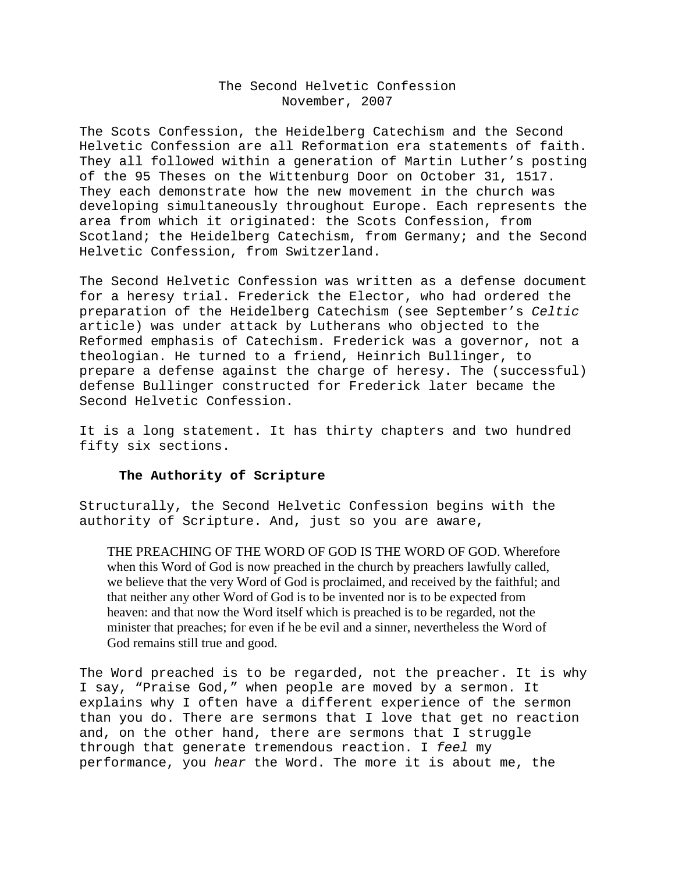## The Second Helvetic Confession November, 2007

The Scots Confession, the Heidelberg Catechism and the Second Helvetic Confession are all Reformation era statements of faith. They all followed within a generation of Martin Luther's posting of the 95 Theses on the Wittenburg Door on October 31, 1517. They each demonstrate how the new movement in the church was developing simultaneously throughout Europe. Each represents the area from which it originated: the Scots Confession, from Scotland; the Heidelberg Catechism, from Germany; and the Second Helvetic Confession, from Switzerland.

The Second Helvetic Confession was written as a defense document for a heresy trial. Frederick the Elector, who had ordered the preparation of the Heidelberg Catechism (see September's *Celtic*  article) was under attack by Lutherans who objected to the Reformed emphasis of Catechism. Frederick was a governor, not a theologian. He turned to a friend, Heinrich Bullinger, to prepare a defense against the charge of heresy. The (successful) defense Bullinger constructed for Frederick later became the Second Helvetic Confession.

It is a long statement. It has thirty chapters and two hundred fifty six sections.

## **The Authority of Scripture**

Structurally, the Second Helvetic Confession begins with the authority of Scripture. And, just so you are aware,

THE PREACHING OF THE WORD OF GOD IS THE WORD OF GOD. Wherefore when this Word of God is now preached in the church by preachers lawfully called, we believe that the very Word of God is proclaimed, and received by the faithful; and that neither any other Word of God is to be invented nor is to be expected from heaven: and that now the Word itself which is preached is to be regarded, not the minister that preaches; for even if he be evil and a sinner, nevertheless the Word of God remains still true and good.

The Word preached is to be regarded, not the preacher. It is why I say, "Praise God," when people are moved by a sermon. It explains why I often have a different experience of the sermon than you do. There are sermons that I love that get no reaction and, on the other hand, there are sermons that I struggle through that generate tremendous reaction. I *feel* my performance, you *hear* the Word. The more it is about me, the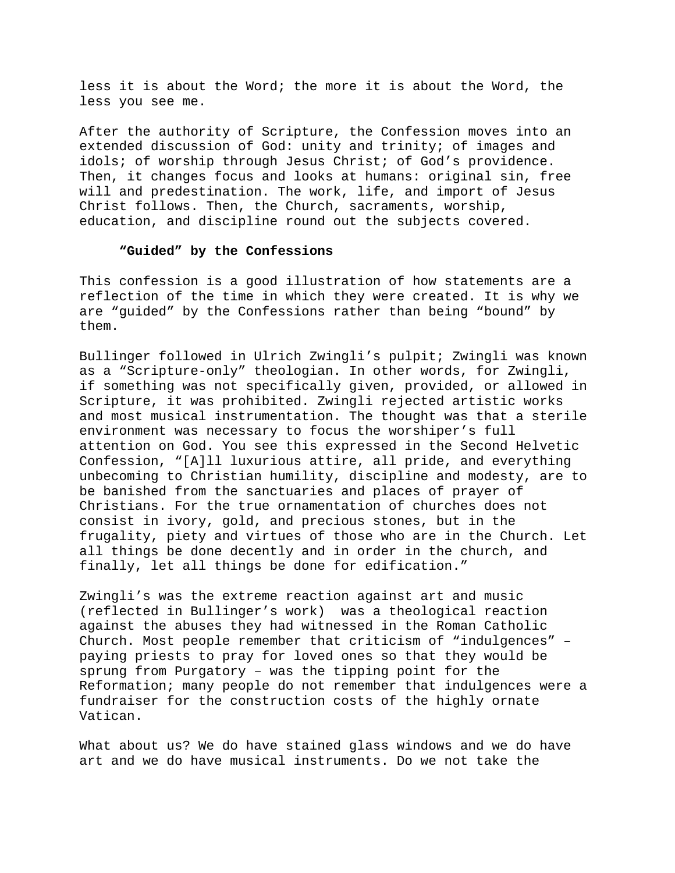less it is about the Word; the more it is about the Word, the less you see me.

After the authority of Scripture, the Confession moves into an extended discussion of God: unity and trinity; of images and idols; of worship through Jesus Christ; of God's providence. Then, it changes focus and looks at humans: original sin, free will and predestination. The work, life, and import of Jesus Christ follows. Then, the Church, sacraments, worship, education, and discipline round out the subjects covered.

## **"Guided" by the Confessions**

This confession is a good illustration of how statements are a reflection of the time in which they were created. It is why we are "guided" by the Confessions rather than being "bound" by them.

Bullinger followed in Ulrich Zwingli's pulpit; Zwingli was known as a "Scripture-only" theologian. In other words, for Zwingli, if something was not specifically given, provided, or allowed in Scripture, it was prohibited. Zwingli rejected artistic works and most musical instrumentation. The thought was that a sterile environment was necessary to focus the worshiper's full attention on God. You see this expressed in the Second Helvetic Confession, "[A]ll luxurious attire, all pride, and everything unbecoming to Christian humility, discipline and modesty, are to be banished from the sanctuaries and places of prayer of Christians. For the true ornamentation of churches does not consist in ivory, gold, and precious stones, but in the frugality, piety and virtues of those who are in the Church. Let all things be done decently and in order in the church, and finally, let all things be done for edification."

Zwingli's was the extreme reaction against art and music (reflected in Bullinger's work) was a theological reaction against the abuses they had witnessed in the Roman Catholic Church. Most people remember that criticism of "indulgences" – paying priests to pray for loved ones so that they would be sprung from Purgatory – was the tipping point for the Reformation; many people do not remember that indulgences were a fundraiser for the construction costs of the highly ornate Vatican.

What about us? We do have stained glass windows and we do have art and we do have musical instruments. Do we not take the